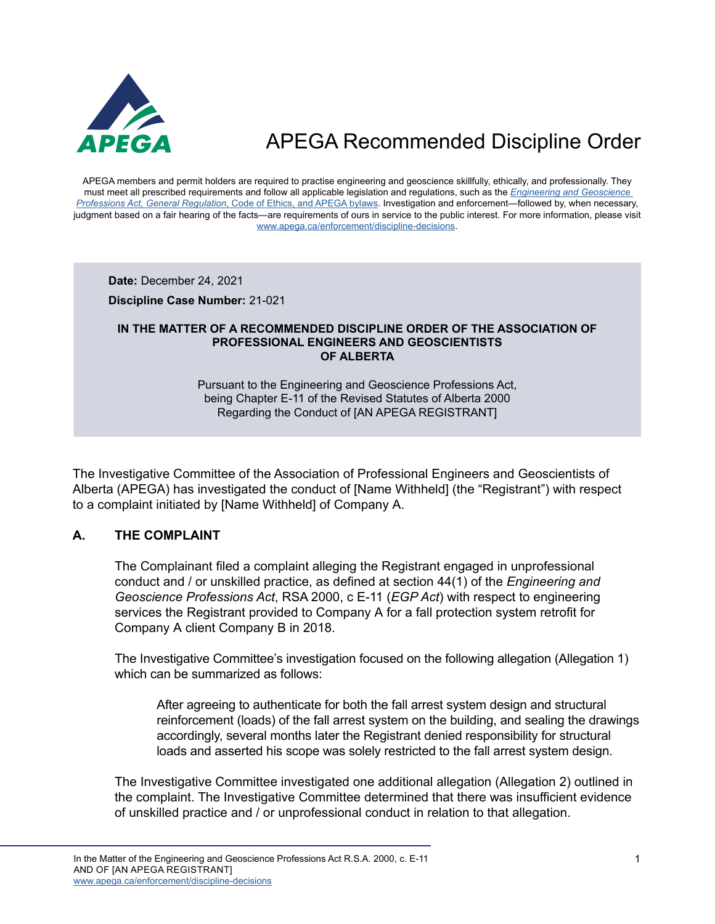

APEGA members and permit holders are required to practise engineering and geoscience skillfully, ethically, and professionally. They must meet all prescribed requirements and follow all applicable legislation and regulations, such as the *[Engineering and Geoscience](https://www.apega.ca/about-apega/publications/engineering-and-geoscience-professions-act)  Professions Act, General Regulation*[, Code of Ethics, and APEGA bylaws.](https://www.apega.ca/about-apega/publications/engineering-and-geoscience-professions-act) Investigation and enforcement—followed by, when necessary, judgment based on a fair hearing of the facts—are requirements of ours in service to the public interest. For more information, please visit [www.apega.ca/enforcement/discipline-decisions.](https://www.apega.ca/enforcement/discipline-decisions)

**Date:** December 24, 2021

**Discipline Case Number:** 21-021

#### **IN THE MATTER OF A RECOMMENDED DISCIPLINE ORDER OF THE ASSOCIATION OF PROFESSIONAL ENGINEERS AND GEOSCIENTISTS OF ALBERTA**

Pursuant to the Engineering and Geoscience Professions Act, being Chapter E-11 of the Revised Statutes of Alberta 2000 Regarding the Conduct of [AN APEGA REGISTRANT]

The Investigative Committee of the Association of Professional Engineers and Geoscientists of Alberta (APEGA) has investigated the conduct of [Name Withheld] (the "Registrant") with respect to a complaint initiated by [Name Withheld] of Company A.

### **A. THE COMPLAINT**

The Complainant filed a complaint alleging the Registrant engaged in unprofessional conduct and / or unskilled practice, as defined at section 44(1) of the *Engineering and Geoscience Professions Act*, RSA 2000, c E-11 (*EGP Act*) with respect to engineering services the Registrant provided to Company A for a fall protection system retrofit for Company A client Company B in 2018.

The Investigative Committee's investigation focused on the following allegation (Allegation 1) which can be summarized as follows:

After agreeing to authenticate for both the fall arrest system design and structural reinforcement (loads) of the fall arrest system on the building, and sealing the drawings accordingly, several months later the Registrant denied responsibility for structural loads and asserted his scope was solely restricted to the fall arrest system design.

The Investigative Committee investigated one additional allegation (Allegation 2) outlined in the complaint. The Investigative Committee determined that there was insufficient evidence of unskilled practice and / or unprofessional conduct in relation to that allegation.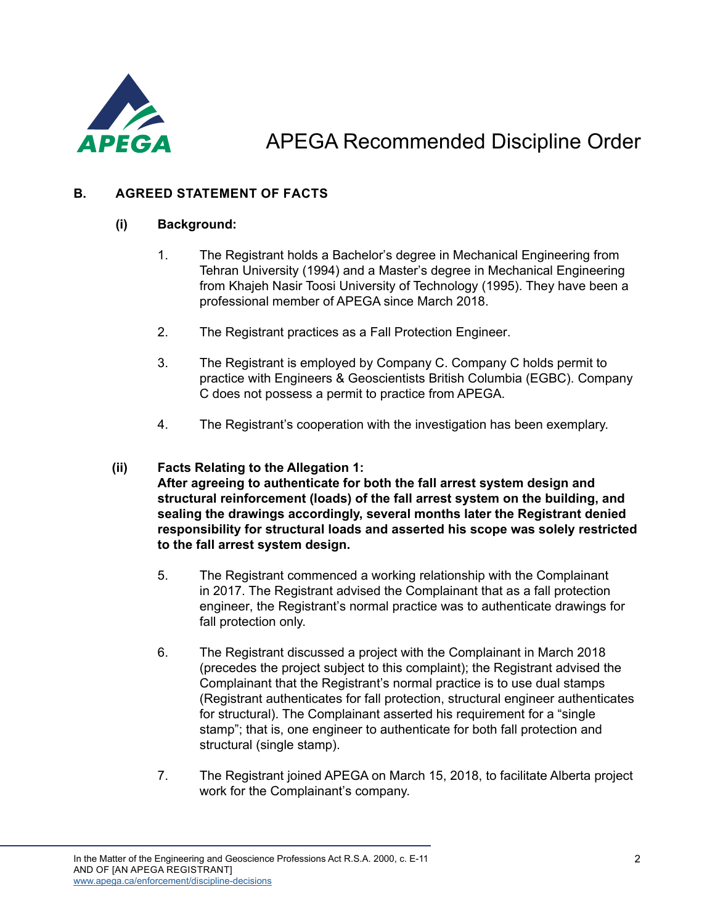

### **B. AGREED STATEMENT OF FACTS**

### **(i) Background:**

- 1. The Registrant holds a Bachelor's degree in Mechanical Engineering from Tehran University (1994) and a Master's degree in Mechanical Engineering from Khajeh Nasir Toosi University of Technology (1995). They have been a professional member of APEGA since March 2018.
- 2. The Registrant practices as a Fall Protection Engineer.
- 3. The Registrant is employed by Company C. Company C holds permit to practice with Engineers & Geoscientists British Columbia (EGBC). Company C does not possess a permit to practice from APEGA.
- 4. The Registrant's cooperation with the investigation has been exemplary.

### **(ii) Facts Relating to the Allegation 1:**

**After agreeing to authenticate for both the fall arrest system design and structural reinforcement (loads) of the fall arrest system on the building, and sealing the drawings accordingly, several months later the Registrant denied responsibility for structural loads and asserted his scope was solely restricted to the fall arrest system design.**

- 5. The Registrant commenced a working relationship with the Complainant in 2017. The Registrant advised the Complainant that as a fall protection engineer, the Registrant's normal practice was to authenticate drawings for fall protection only.
- 6. The Registrant discussed a project with the Complainant in March 2018 (precedes the project subject to this complaint); the Registrant advised the Complainant that the Registrant's normal practice is to use dual stamps (Registrant authenticates for fall protection, structural engineer authenticates for structural). The Complainant asserted his requirement for a "single stamp"; that is, one engineer to authenticate for both fall protection and structural (single stamp).
- 7. The Registrant joined APEGA on March 15, 2018, to facilitate Alberta project work for the Complainant's company.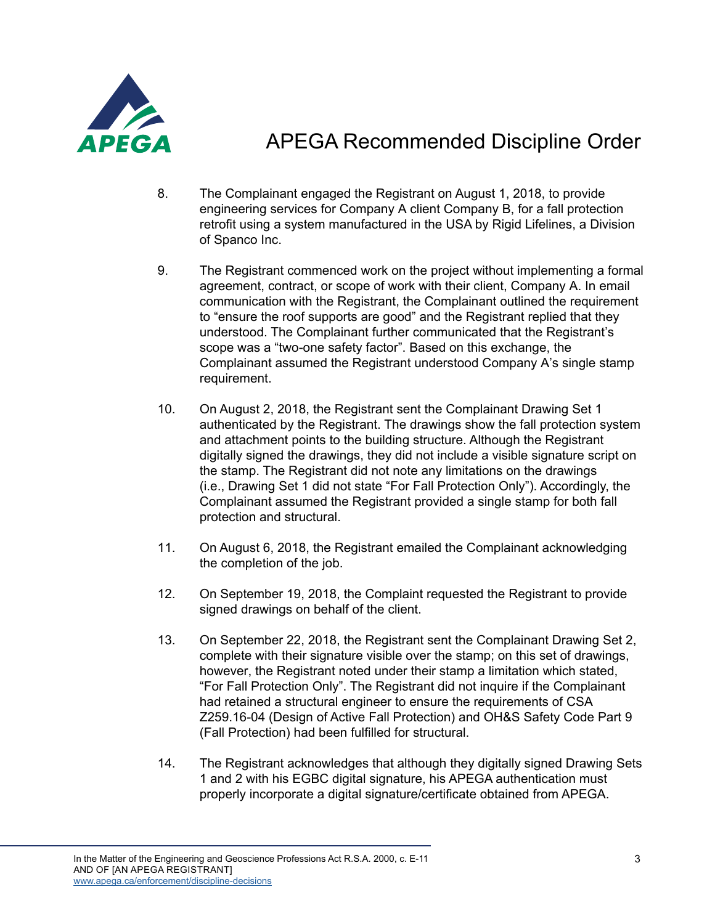

- 8. The Complainant engaged the Registrant on August 1, 2018, to provide engineering services for Company A client Company B, for a fall protection retrofit using a system manufactured in the USA by Rigid Lifelines, a Division of Spanco Inc.
- 9. The Registrant commenced work on the project without implementing a formal agreement, contract, or scope of work with their client, Company A. In email communication with the Registrant, the Complainant outlined the requirement to "ensure the roof supports are good" and the Registrant replied that they understood. The Complainant further communicated that the Registrant's scope was a "two-one safety factor". Based on this exchange, the Complainant assumed the Registrant understood Company A's single stamp requirement.
- 10. On August 2, 2018, the Registrant sent the Complainant Drawing Set 1 authenticated by the Registrant. The drawings show the fall protection system and attachment points to the building structure. Although the Registrant digitally signed the drawings, they did not include a visible signature script on the stamp. The Registrant did not note any limitations on the drawings (i.e., Drawing Set 1 did not state "For Fall Protection Only"). Accordingly, the Complainant assumed the Registrant provided a single stamp for both fall protection and structural.
- 11. On August 6, 2018, the Registrant emailed the Complainant acknowledging the completion of the job.
- 12. On September 19, 2018, the Complaint requested the Registrant to provide signed drawings on behalf of the client.
- 13. On September 22, 2018, the Registrant sent the Complainant Drawing Set 2, complete with their signature visible over the stamp; on this set of drawings, however, the Registrant noted under their stamp a limitation which stated, "For Fall Protection Only". The Registrant did not inquire if the Complainant had retained a structural engineer to ensure the requirements of CSA Z259.16-04 (Design of Active Fall Protection) and OH&S Safety Code Part 9 (Fall Protection) had been fulfilled for structural.
- 14. The Registrant acknowledges that although they digitally signed Drawing Sets 1 and 2 with his EGBC digital signature, his APEGA authentication must properly incorporate a digital signature/certificate obtained from APEGA.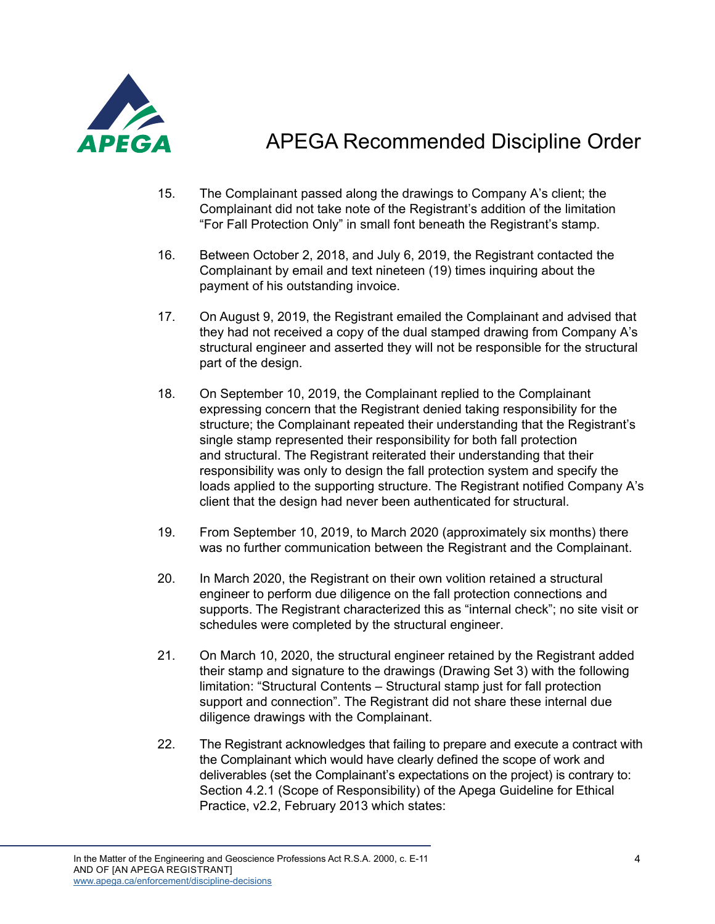

- 15. The Complainant passed along the drawings to Company A's client; the Complainant did not take note of the Registrant's addition of the limitation "For Fall Protection Only" in small font beneath the Registrant's stamp.
- 16. Between October 2, 2018, and July 6, 2019, the Registrant contacted the Complainant by email and text nineteen (19) times inquiring about the payment of his outstanding invoice.
- 17. On August 9, 2019, the Registrant emailed the Complainant and advised that they had not received a copy of the dual stamped drawing from Company A's structural engineer and asserted they will not be responsible for the structural part of the design.
- 18. On September 10, 2019, the Complainant replied to the Complainant expressing concern that the Registrant denied taking responsibility for the structure; the Complainant repeated their understanding that the Registrant's single stamp represented their responsibility for both fall protection and structural. The Registrant reiterated their understanding that their responsibility was only to design the fall protection system and specify the loads applied to the supporting structure. The Registrant notified Company A's client that the design had never been authenticated for structural.
- 19. From September 10, 2019, to March 2020 (approximately six months) there was no further communication between the Registrant and the Complainant.
- 20. In March 2020, the Registrant on their own volition retained a structural engineer to perform due diligence on the fall protection connections and supports. The Registrant characterized this as "internal check"; no site visit or schedules were completed by the structural engineer.
- 21. On March 10, 2020, the structural engineer retained by the Registrant added their stamp and signature to the drawings (Drawing Set 3) with the following limitation: "Structural Contents – Structural stamp just for fall protection support and connection". The Registrant did not share these internal due diligence drawings with the Complainant.
- 22. The Registrant acknowledges that failing to prepare and execute a contract with the Complainant which would have clearly defined the scope of work and deliverables (set the Complainant's expectations on the project) is contrary to: Section 4.2.1 (Scope of Responsibility) of the Apega Guideline for Ethical Practice, v2.2, February 2013 which states: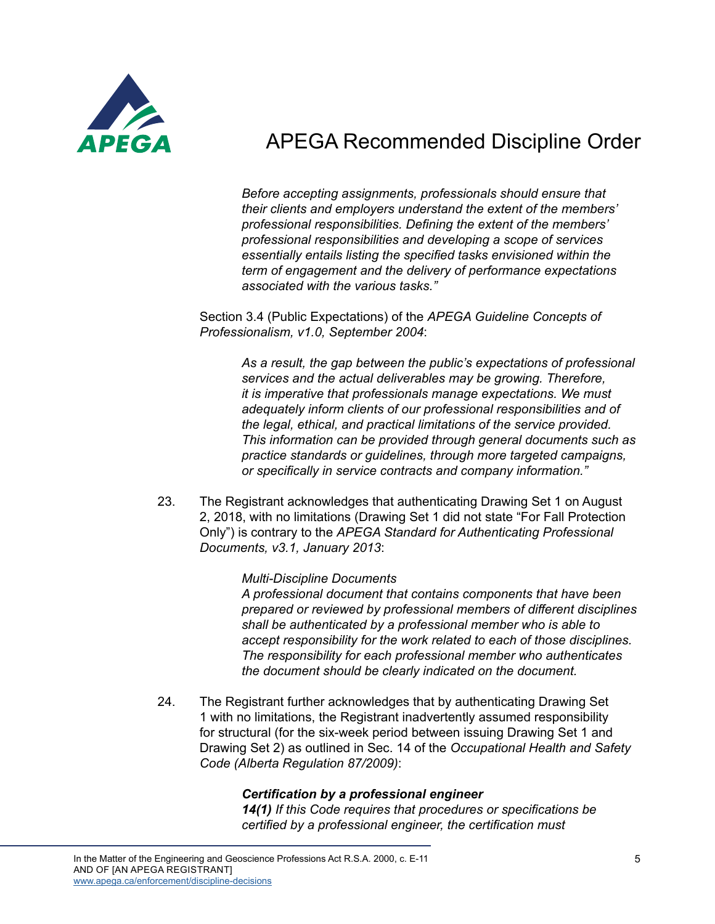

*Before accepting assignments, professionals should ensure that their clients and employers understand the extent of the members' professional responsibilities. Defining the extent of the members' professional responsibilities and developing a scope of services essentially entails listing the specified tasks envisioned within the term of engagement and the delivery of performance expectations associated with the various tasks."*

Section 3.4 (Public Expectations) of the *APEGA Guideline Concepts of Professionalism, v1.0, September 2004*:

*As a result, the gap between the public's expectations of professional services and the actual deliverables may be growing. Therefore, it is imperative that professionals manage expectations. We must adequately inform clients of our professional responsibilities and of the legal, ethical, and practical limitations of the service provided. This information can be provided through general documents such as practice standards or guidelines, through more targeted campaigns, or specifically in service contracts and company information."*

23. The Registrant acknowledges that authenticating Drawing Set 1 on August 2, 2018, with no limitations (Drawing Set 1 did not state "For Fall Protection Only") is contrary to the *APEGA Standard for Authenticating Professional Documents, v3.1, January 2013*:

#### *Multi-Discipline Documents*

*A professional document that contains components that have been prepared or reviewed by professional members of different disciplines shall be authenticated by a professional member who is able to accept responsibility for the work related to each of those disciplines. The responsibility for each professional member who authenticates the document should be clearly indicated on the document.*

24. The Registrant further acknowledges that by authenticating Drawing Set 1 with no limitations, the Registrant inadvertently assumed responsibility for structural (for the six-week period between issuing Drawing Set 1 and Drawing Set 2) as outlined in Sec. 14 of the *Occupational Health and Safety Code (Alberta Regulation 87/2009)*:

### *Certification by a professional engineer*

*14(1) If this Code requires that procedures or specifications be certified by a professional engineer, the certification must*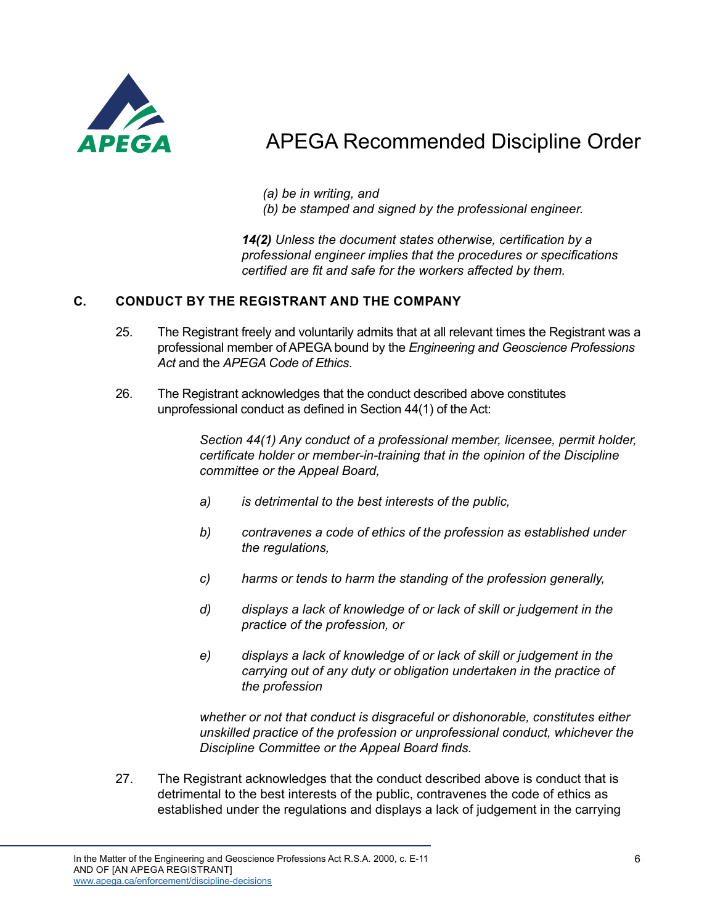

*(a) be in writing, and*

*(b) be stamped and signed by the professional engineer.*

*14(2) Unless the document states otherwise, certification by a professional engineer implies that the procedures or specifications certified are fit and safe for the workers affected by them.*

### **C. CONDUCT BY THE REGISTRANT AND THE COMPANY**

- 25. The Registrant freely and voluntarily admits that at all relevant times the Registrant was a professional member of APEGA bound by the *Engineering and Geoscience Professions Act* and the *APEGA Code of Ethics*.
- 26. The Registrant acknowledges that the conduct described above constitutes unprofessional conduct as defined in Section 44(1) of the Act:

*Section 44(1) Any conduct of a professional member, licensee, permit holder, certificate holder or member-in-training that in the opinion of the Discipline committee or the Appeal Board,*

- *a) is detrimental to the best interests of the public,*
- *b) contravenes a code of ethics of the profession as established under the regulations,*
- *c) harms or tends to harm the standing of the profession generally,*
- *d) displays a lack of knowledge of or lack of skill or judgement in the practice of the profession, or*
- *e) displays a lack of knowledge of or lack of skill or judgement in the carrying out of any duty or obligation undertaken in the practice of the profession*

*whether or not that conduct is disgraceful or dishonorable, constitutes either unskilled practice of the profession or unprofessional conduct, whichever the Discipline Committee or the Appeal Board finds.*

27. The Registrant acknowledges that the conduct described above is conduct that is detrimental to the best interests of the public, contravenes the code of ethics as established under the regulations and displays a lack of judgement in the carrying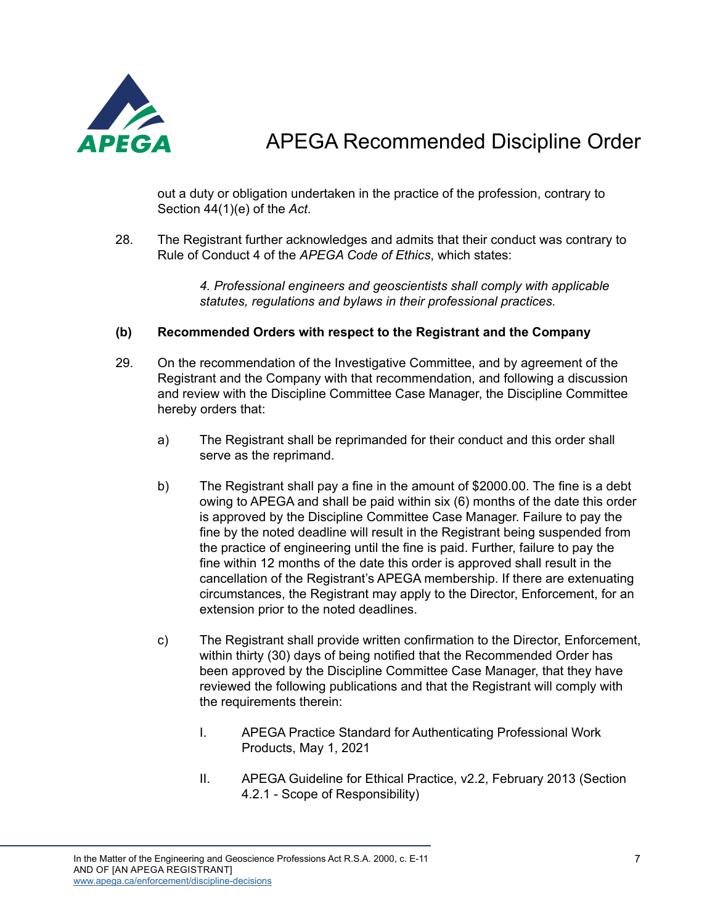

out a duty or obligation undertaken in the practice of the profession, contrary to Section 44(1)(e) of the *Act*.

28. The Registrant further acknowledges and admits that their conduct was contrary to Rule of Conduct 4 of the *APEGA Code of Ethics*, which states:

> *4. Professional engineers and geoscientists shall comply with applicable statutes, regulations and bylaws in their professional practices.*

### **(b) Recommended Orders with respect to the Registrant and the Company**

- 29. On the recommendation of the Investigative Committee, and by agreement of the Registrant and the Company with that recommendation, and following a discussion and review with the Discipline Committee Case Manager, the Discipline Committee hereby orders that:
	- a) The Registrant shall be reprimanded for their conduct and this order shall serve as the reprimand.
	- b) The Registrant shall pay a fine in the amount of \$2000.00. The fine is a debt owing to APEGA and shall be paid within six (6) months of the date this order is approved by the Discipline Committee Case Manager. Failure to pay the fine by the noted deadline will result in the Registrant being suspended from the practice of engineering until the fine is paid. Further, failure to pay the fine within 12 months of the date this order is approved shall result in the cancellation of the Registrant's APEGA membership. If there are extenuating circumstances, the Registrant may apply to the Director, Enforcement, for an extension prior to the noted deadlines.
	- c) The Registrant shall provide written confirmation to the Director, Enforcement, within thirty (30) days of being notified that the Recommended Order has been approved by the Discipline Committee Case Manager, that they have reviewed the following publications and that the Registrant will comply with the requirements therein:
		- I. APEGA Practice Standard for Authenticating Professional Work Products, May 1, 2021
		- II. APEGA Guideline for Ethical Practice, v2.2, February 2013 (Section 4.2.1 - Scope of Responsibility)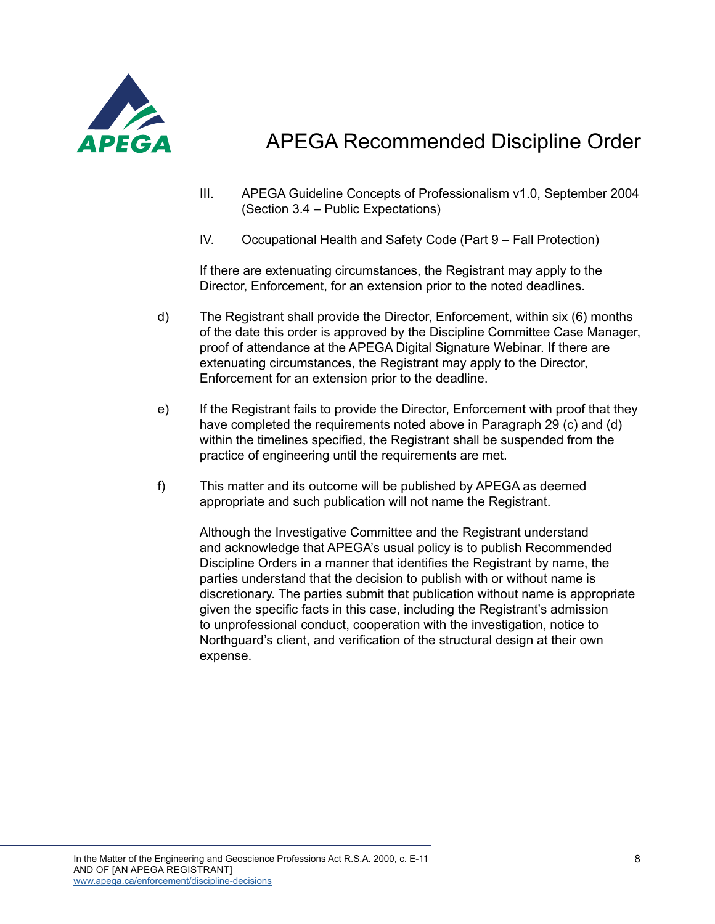

- III. APEGA Guideline Concepts of Professionalism v1.0, September 2004 (Section 3.4 – Public Expectations)
- IV. Occupational Health and Safety Code (Part 9 Fall Protection)

If there are extenuating circumstances, the Registrant may apply to the Director, Enforcement, for an extension prior to the noted deadlines.

- d) The Registrant shall provide the Director, Enforcement, within six (6) months of the date this order is approved by the Discipline Committee Case Manager, proof of attendance at the APEGA Digital Signature Webinar. If there are extenuating circumstances, the Registrant may apply to the Director, Enforcement for an extension prior to the deadline.
- e) If the Registrant fails to provide the Director, Enforcement with proof that they have completed the requirements noted above in Paragraph 29 (c) and (d) within the timelines specified, the Registrant shall be suspended from the practice of engineering until the requirements are met.
- f) This matter and its outcome will be published by APEGA as deemed appropriate and such publication will not name the Registrant.

Although the Investigative Committee and the Registrant understand and acknowledge that APEGA's usual policy is to publish Recommended Discipline Orders in a manner that identifies the Registrant by name, the parties understand that the decision to publish with or without name is discretionary. The parties submit that publication without name is appropriate given the specific facts in this case, including the Registrant's admission to unprofessional conduct, cooperation with the investigation, notice to Northguard's client, and verification of the structural design at their own expense.